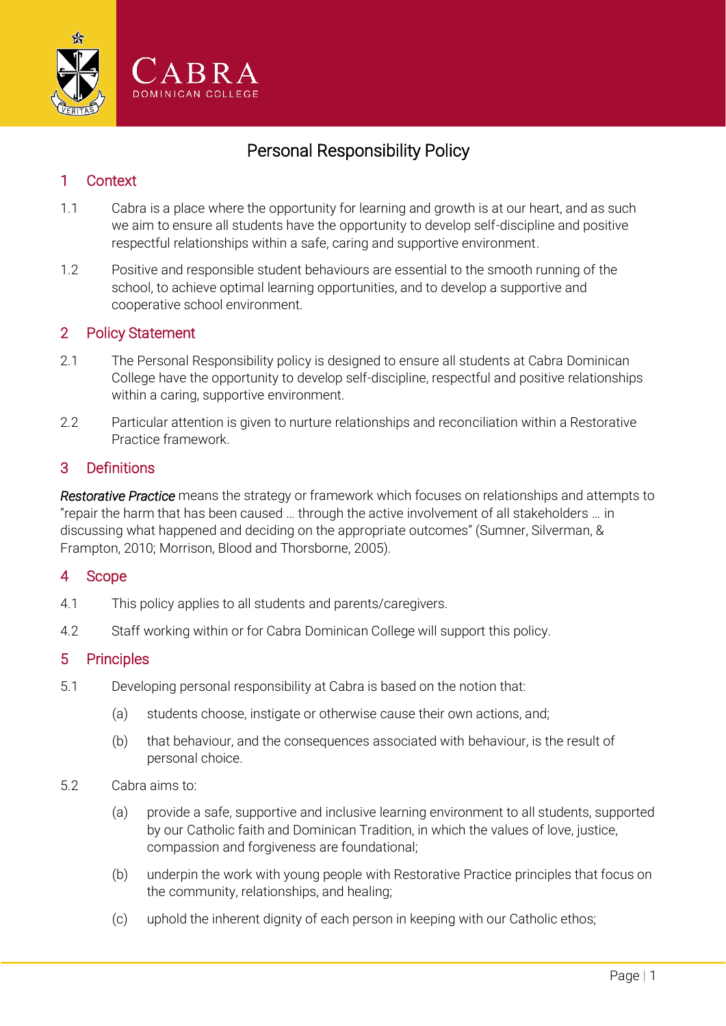

# Personal Responsibility Policy

## 1 Context

- 1.1 Cabra is a place where the opportunity for learning and growth is at our heart, and as such we aim to ensure all students have the opportunity to develop self-discipline and positive respectful relationships within a safe, caring and supportive environment.
- 1.2 Positive and responsible student behaviours are essential to the smooth running of the school, to achieve optimal learning opportunities, and to develop a supportive and cooperative school environment.

#### 2 Policy Statement

- 2.1 The Personal Responsibility policy is designed to ensure all students at Cabra Dominican College have the opportunity to develop self-discipline, respectful and positive relationships within a caring, supportive environment.
- 2.2 Particular attention is given to nurture relationships and reconciliation within a Restorative Practice framework.

#### 3 Definitions

*Restorative Practice* means the strategy or framework which focuses on relationships and attempts to "repair the harm that has been caused … through the active involvement of all stakeholders … in discussing what happened and deciding on the appropriate outcomes" (Sumner, Silverman, & Frampton, 2010; Morrison, Blood and Thorsborne, 2005).

### 4 Scope

- 4.1 This policy applies to all students and parents/caregivers.
- 4.2 Staff working within or for Cabra Dominican College will support this policy.

#### 5 Principles

- 5.1 Developing personal responsibility at Cabra is based on the notion that:
	- (a) students choose, instigate or otherwise cause their own actions, and;
	- (b) that behaviour, and the consequences associated with behaviour, is the result of personal choice.
- 5.2 Cabra aims to:
	- (a) provide a safe, supportive and inclusive learning environment to all students, supported by our Catholic faith and Dominican Tradition, in which the values of love, justice, compassion and forgiveness are foundational;
	- (b) underpin the work with young people with Restorative Practice principles that focus on the community, relationships, and healing;
	- (c) uphold the inherent dignity of each person in keeping with our Catholic ethos;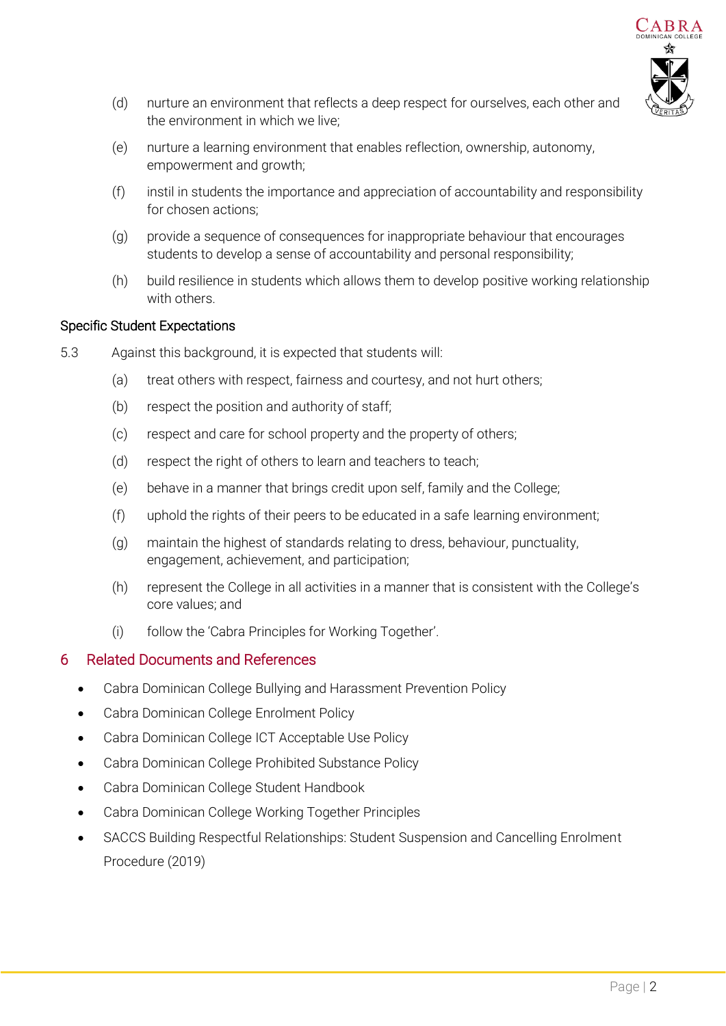

- (d) nurture an environment that reflects a deep respect for ourselves, each other and the environment in which we live;
- (e) nurture a learning environment that enables reflection, ownership, autonomy, empowerment and growth;
- (f) instil in students the importance and appreciation of accountability and responsibility for chosen actions:
- (g) provide a sequence of consequences for inappropriate behaviour that encourages students to develop a sense of accountability and personal responsibility;
- (h) build resilience in students which allows them to develop positive working relationship with others.

#### Specific Student Expectations

- 5.3 Against this background, it is expected that students will:
	- (a) treat others with respect, fairness and courtesy, and not hurt others;
	- (b) respect the position and authority of staff;
	- (c) respect and care for school property and the property of others;
	- (d) respect the right of others to learn and teachers to teach;
	- (e) behave in a manner that brings credit upon self, family and the College;
	- (f) uphold the rights of their peers to be educated in a safe learning environment;
	- (g) maintain the highest of standards relating to dress, behaviour, punctuality, engagement, achievement, and participation;
	- (h) represent the College in all activities in a manner that is consistent with the College's core values; and
	- (i) follow the 'Cabra Principles for Working Together'.

### 6 Related Documents and References

- Cabra Dominican College Bullying and Harassment Prevention Policy
- Cabra Dominican College Enrolment Policy
- Cabra Dominican College ICT Acceptable Use Policy
- Cabra Dominican College Prohibited Substance Policy
- Cabra Dominican College Student Handbook
- Cabra Dominican College Working Together Principles
- SACCS Building Respectful Relationships: Student Suspension and Cancelling Enrolment Procedure (2019)